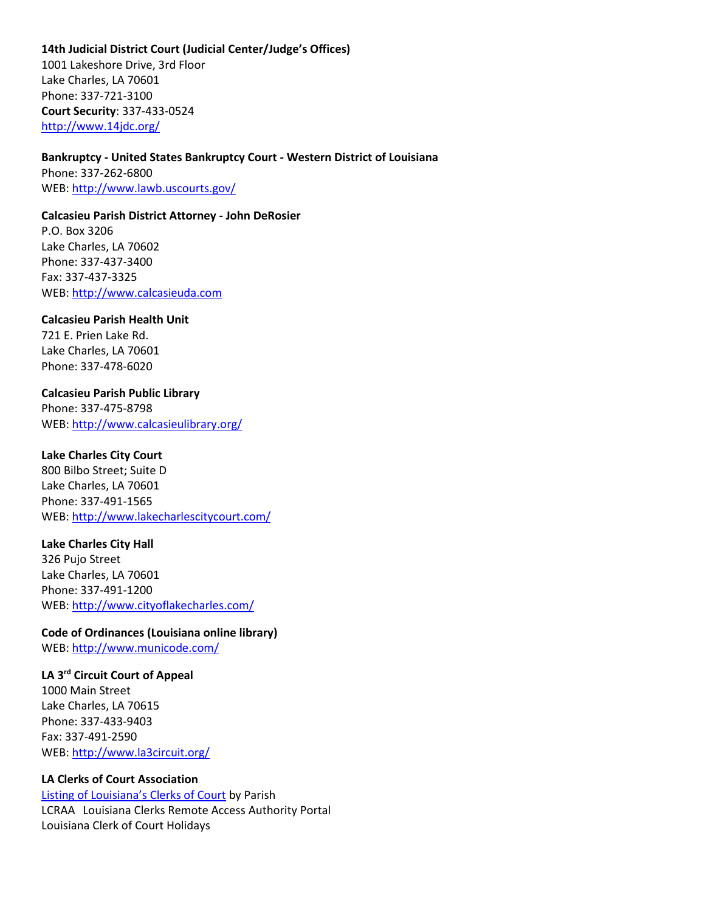## **14th Judicial District Court (Judicial Center/Judge's Offices)**

1001 Lakeshore Drive, 3rd Floor Lake Charles, LA 70601 Phone: 337-721-3100 **Court Security**: 337-433-0524 <http://www.14jdc.org/>

### **Bankruptcy - United States Bankruptcy Court - Western District of Louisiana**

Phone: 337-262-6800 WEB: <http://www.lawb.uscourts.gov/>

## **Calcasieu Parish District Attorney - John DeRosier**

P.O. Box 3206 Lake Charles, LA 70602 Phone: 337-437-3400 Fax: 337-437-3325 WEB: [http://www.calcasieuda.com](http://www.calcasieuda.com/)

### **Calcasieu Parish Health Unit**

721 E. Prien Lake Rd. Lake Charles, LA 70601 Phone: 337-478-6020

### **Calcasieu Parish Public Library**

Phone: 337-475-8798 WEB: <http://www.calcasieulibrary.org/>

## **Lake Charles City Court**

800 Bilbo Street; Suite D Lake Charles, LA 70601 Phone: 337-491-1565 WEB: <http://www.lakecharlescitycourt.com/>

## **Lake Charles City Hall**

326 Pujo Street Lake Charles, LA 70601 Phone: 337-491-1200 WEB: <http://www.cityoflakecharles.com/>

# **Code of Ordinances (Louisiana online library)**

WEB: <http://www.municode.com/>

## **LA 3rd Circuit Court of Appeal**

1000 Main Street Lake Charles, LA 70615 Phone: 337-433-9403 Fax: 337-491-2590 WEB: <http://www.la3circuit.org/>

## **LA Clerks of Court Association**

Listing of Louisiana's [Clerks of Court](http://laclerksofcourt.org/clerksofcourt.htm) by Parish LCRAA Louisiana Clerks Remote Access Authority Portal Louisiana Clerk of Court Holidays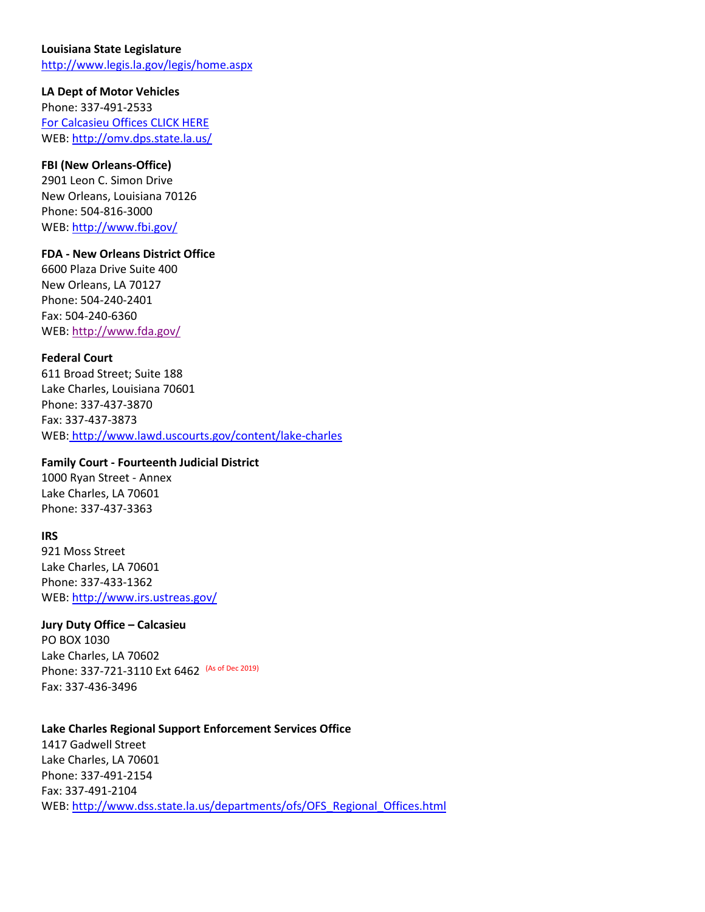## **Louisiana State Legislature**

<http://www.legis.la.gov/legis/home.aspx>

## **LA Dept of Motor Vehicles**

Phone: 337-491-2533 [For Calcasieu Offices CLICK HERE](http://www.dps.state.la.us/omvfielddirections.nsf/$parish?OpenView&Start=1&Count=30&Expand=10#10) WEB: <http://omv.dps.state.la.us/>

# **FBI (New Orleans-Office)**

2901 Leon C. Simon Drive New Orleans, Louisiana 70126 Phone: 504-816-3000 WEB: <http://www.fbi.gov/>

## **FDA - New Orleans District Office**

6600 Plaza Drive Suite 400 New Orleans, LA 70127 Phone: 504-240-2401 Fax: 504-240-6360 WEB: <http://www.fda.gov/>

### **Federal Court**

611 Broad Street; Suite 188 Lake Charles, Louisiana 70601 Phone: 337-437-3870 Fax: 337-437-3873 WEB: <http://www.lawd.uscourts.gov/content/lake-charles>

## **Family Court - Fourteenth Judicial District**

1000 Ryan Street - Annex Lake Charles, LA 70601 Phone: 337-437-3363

#### **IRS**

921 Moss Street Lake Charles, LA 70601 Phone: 337-433-1362 WEB: <http://www.irs.ustreas.gov/>

#### **Jury Duty Office – Calcasieu**

PO BOX 1030 Lake Charles, LA 70602 Phone: 337-721-3110 Ext 6462 (As of Dec 2019) Fax: 337-436-3496

#### **Lake Charles Regional Support Enforcement Services Office**

1417 Gadwell Street Lake Charles, LA 70601 Phone: 337-491-2154 Fax: 337-491-2104 WEB: [http://www.dss.state.la.us/departments/ofs/OFS\\_Regional\\_Offices.html](http://www.dss.state.la.us/departments/ofs/OFS_Regional_Offices.html)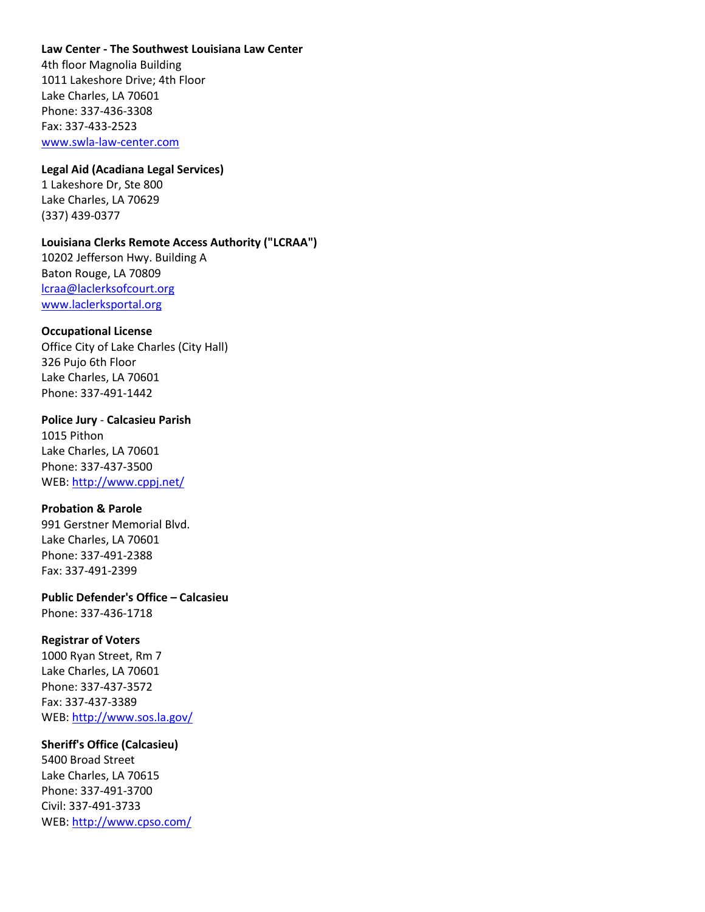## **Law Center - The Southwest Louisiana Law Center**

4th floor Magnolia Building 1011 Lakeshore Drive; 4th Floor Lake Charles, LA 70601 Phone: 337-436-3308 Fax: 337-433-2523 [www.swla-law-center.com](http://www.swla-law-center.com/)

#### **Legal Aid (Acadiana Legal Services)**

1 Lakeshore Dr, Ste 800 Lake Charles, LA 70629 (337) 439-0377

## **Louisiana Clerks Remote Access Authority ("LCRAA")**

10202 Jefferson Hwy. Building A Baton Rouge, LA 70809 [lcraa@laclerksofcourt.org](mailto:lcraa@laclerksofcourt.org) [www.laclerksportal.org](http://www.laclerksportal.org/)

#### **Occupational License**

Office City of Lake Charles (City Hall) 326 Pujo 6th Floor Lake Charles, LA 70601 Phone: 337-491-1442

#### **Police Jury** - **Calcasieu Parish**

1015 Pithon Lake Charles, LA 70601 Phone: 337-437-3500 WEB: <http://www.cppj.net/>

## **Probation & Parole**

991 Gerstner Memorial Blvd. Lake Charles, LA 70601 Phone: 337-491-2388 Fax: 337-491-2399

### **Public Defender's Office – Calcasieu** Phone: 337-436-1718

## **Registrar of Voters**

1000 Ryan Street, Rm 7 Lake Charles, LA 70601 Phone: 337-437-3572 Fax: 337-437-3389 WEB: <http://www.sos.la.gov/>

## **Sheriff's Office (Calcasieu)**

5400 Broad Street Lake Charles, LA 70615 Phone: 337-491-3700 Civil: 337-491-3733 WEB: <http://www.cpso.com/>